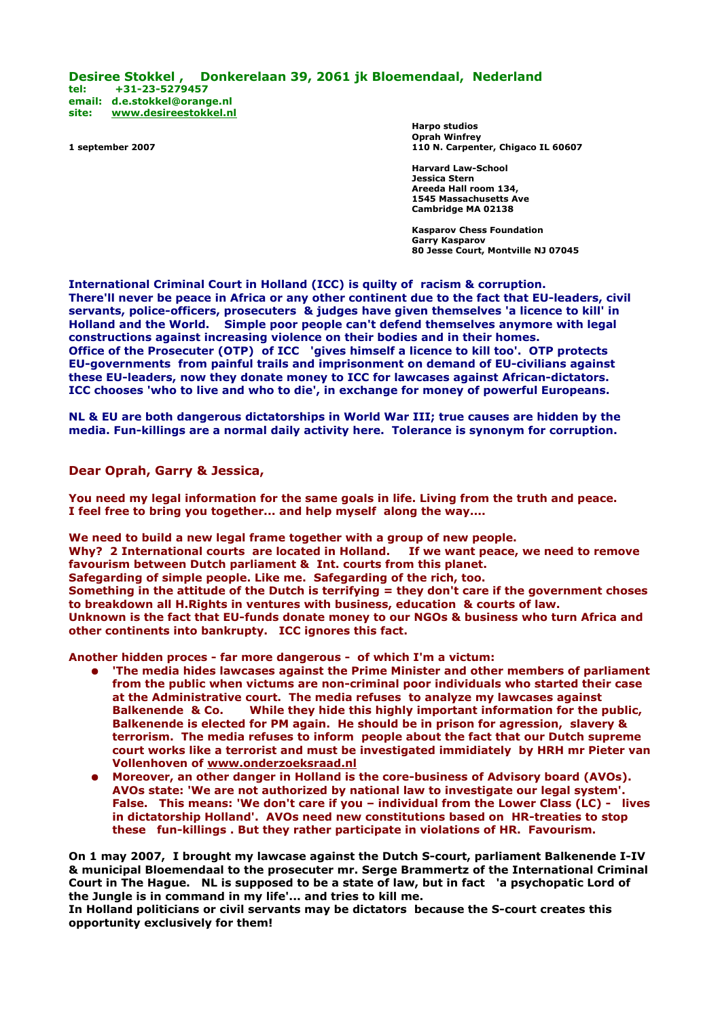**Desiree Stokkel , Donkerelaan 39, 2061 jk Bloemendaal, Nederland tel: +31-23-5279457 email: [d.e.stokkel@orange.nl](mailto:d.e.stokkel@orange.nl) site: [www.desireestokkel.nl](http://www.desireestokkel.nl/)**

**Harpo studios Oprah Winfrey 1 september 2007 110 N. Carpenter, Chigaco IL 60607**

> **Harvard Law-School Jessica Stern Areeda Hall room 134, 1545 Massachusetts Ave Cambridge MA 02138**

**Kasparov Chess Foundation Garry Kasparov 80 Jesse Court, Montville NJ 07045**

**International Criminal Court in Holland (ICC) is quilty of racism & corruption. There'll never be peace in Africa or any other continent due to the fact that EU-leaders, civil servants, police-officers, prosecuters & judges have given themselves 'a licence to kill' in Holland and the World. Simple poor people can't defend themselves anymore with legal constructions against increasing violence on their bodies and in their homes. Office of the Prosecuter (OTP) of ICC 'gives himself a licence to kill too'. OTP protects EU-governments from painful trails and imprisonment on demand of EU-civilians against these EU-leaders, now they donate money to ICC for lawcases against African-dictators. ICC chooses 'who to live and who to die', in exchange for money of powerful Europeans.** 

**NL & EU are both dangerous dictatorships in World War III; true causes are hidden by the media. Fun-killings are a normal daily activity here. Tolerance is synonym for corruption.**

**Dear Oprah, Garry & Jessica,**

**You need my legal information for the same goals in life. Living from the truth and peace. I feel free to bring you together... and help myself along the way....**

**We need to build a new legal frame together with a group of new people. Why? 2 International courts are located in Holland. favourism between Dutch parliament & Int. courts from this planet. Safegarding of simple people. Like me. Safegarding of the rich, too. Something in the attitude of the Dutch is terrifying = they don't care if the government choses to breakdown all H.Rights in ventures with business, education & courts of law. Unknown is the fact that EU-funds donate money to our NGOs & business who turn Africa and other continents into bankrupty. ICC ignores this fact.**

**Another hidden proces - far more dangerous - of which I'm a victum:**

- **'The media hides lawcases against the Prime Minister and other members of parliament from the public when victums are non-criminal poor individuals who started their case at the Administrative court. The media refuses to analyze my lawcases against Balkenende & Co. While they hide this highly important information for the public, Balkenende is elected for PM again. He should be in prison for agression, slavery & terrorism. The media refuses to inform people about the fact that our Dutch supreme court works like a terrorist and must be investigated immidiately by HRH mr Pieter van Vollenhoven of [www.onderzoeksraad.nl](http://www.onderzoeksraad.nl/)**
- **Moreover, an other danger in Holland is the core-business of Advisory board (AVOs). AVOs state: 'We are not authorized by national law to investigate our legal system'. False. This means: 'We don't care if you – individual from the Lower Class (LC) - lives in dictatorship Holland'. AVOs need new constitutions based on HR-treaties to stop these fun-killings . But they rather participate in violations of HR. Favourism.**

**On 1 may 2007, I brought my lawcase against the Dutch S-court, parliament Balkenende I-IV & municipal Bloemendaal to the prosecuter mr. Serge Brammertz of the International Criminal Court in The Hague. NL is supposed to be a state of law, but in fact 'a psychopatic Lord of the Jungle is in command in my life'... and tries to kill me.** 

**In Holland politicians or civil servants may be dictators because the S-court creates this opportunity exclusively for them!**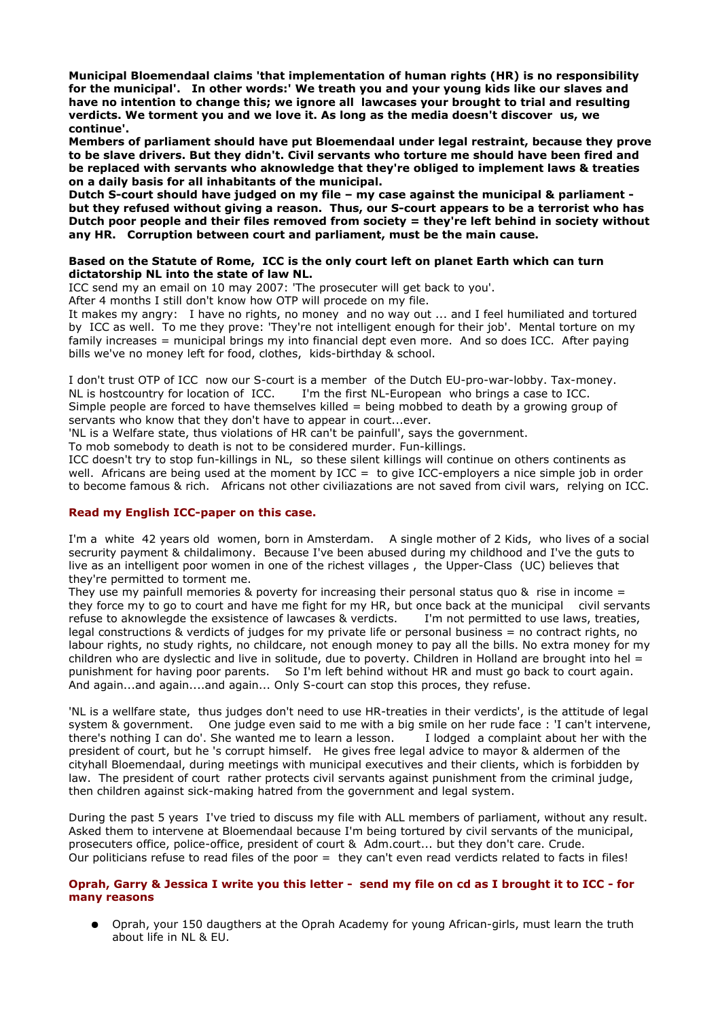**Municipal Bloemendaal claims 'that implementation of human rights (HR) is no responsibility for the municipal'. In other words:' We treath you and your young kids like our slaves and have no intention to change this; we ignore all lawcases your brought to trial and resulting verdicts. We torment you and we love it. As long as the media doesn't discover us, we continue'.** 

**Members of parliament should have put Bloemendaal under legal restraint, because they prove to be slave drivers. But they didn't. Civil servants who torture me should have been fired and be replaced with servants who aknowledge that they're obliged to implement laws & treaties on a daily basis for all inhabitants of the municipal.** 

**Dutch S-court should have judged on my file – my case against the municipal & parliament but they refused without giving a reason. Thus, our S-court appears to be a terrorist who has Dutch poor people and their files removed from society = they're left behind in society without any HR. Corruption between court and parliament, must be the main cause.** 

### **Based on the Statute of Rome, ICC is the only court left on planet Earth which can turn dictatorship NL into the state of law NL.**

ICC send my an email on 10 may 2007: 'The prosecuter will get back to you'.

After 4 months I still don't know how OTP will procede on my file.

It makes my angry: I have no rights, no money and no way out ... and I feel humiliated and tortured by ICC as well. To me they prove: 'They're not intelligent enough for their job'. Mental torture on my family increases = municipal brings my into financial dept even more. And so does ICC. After paying bills we've no money left for food, clothes, kids-birthday & school.

I don't trust OTP of ICC now our S-court is a member of the Dutch EU-pro-war-lobby. Tax-money. NL is hostcountry for location of ICC. I'm the first NL-European who brings a case to ICC. Simple people are forced to have themselves killed = being mobbed to death by a growing group of servants who know that they don't have to appear in court...ever.

'NL is a Welfare state, thus violations of HR can't be painfull', says the government.

To mob somebody to death is not to be considered murder. Fun-killings.

ICC doesn't try to stop fun-killings in NL, so these silent killings will continue on others continents as well. Africans are being used at the moment by ICC = to give ICC-employers a nice simple job in order to become famous & rich. Africans not other civiliazations are not saved from civil wars, relying on ICC.

## **Read my English ICC-paper on this case.**

I'm a white 42 years old women, born in Amsterdam. A single mother of 2 Kids, who lives of a social secrurity payment & childalimony. Because I've been abused during my childhood and I've the guts to live as an intelligent poor women in one of the richest villages , the Upper-Class (UC) believes that they're permitted to torment me.

They use my painfull memories & poverty for increasing their personal status quo & rise in income  $=$ they force my to go to court and have me fight for my HR, but once back at the municipal civil servants refuse to aknowlegde the exsistence of lawcases & verdicts. I'm not permitted to use laws, treaties, legal constructions & verdicts of judges for my private life or personal business = no contract rights, no labour rights, no study rights, no childcare, not enough money to pay all the bills. No extra money for my children who are dyslectic and live in solitude, due to poverty. Children in Holland are brought into hel  $=$ punishment for having poor parents. So I'm left behind without HR and must go back to court again. And again...and again....and again... Only S-court can stop this proces, they refuse.

'NL is a wellfare state, thus judges don't need to use HR-treaties in their verdicts', is the attitude of legal system & government. One judge even said to me with a big smile on her rude face : 'I can't intervene, there's nothing I can do'. She wanted me to learn a lesson. I lodged a complaint about her with the president of court, but he 's corrupt himself. He gives free legal advice to mayor & aldermen of the cityhall Bloemendaal, during meetings with municipal executives and their clients, which is forbidden by law. The president of court rather protects civil servants against punishment from the criminal judge, then children against sick-making hatred from the government and legal system.

During the past 5 years I've tried to discuss my file with ALL members of parliament, without any result. Asked them to intervene at Bloemendaal because I'm being tortured by civil servants of the municipal, prosecuters office, police-office, president of court & Adm.court... but they don't care. Crude. Our politicians refuse to read files of the poor = they can't even read verdicts related to facts in files!

## **Oprah, Garry & Jessica I write you this letter - send my file on cd as I brought it to ICC - for many reasons**

Oprah, your 150 daugthers at the Oprah Academy for young African-girls, must learn the truth about life in NL & EU.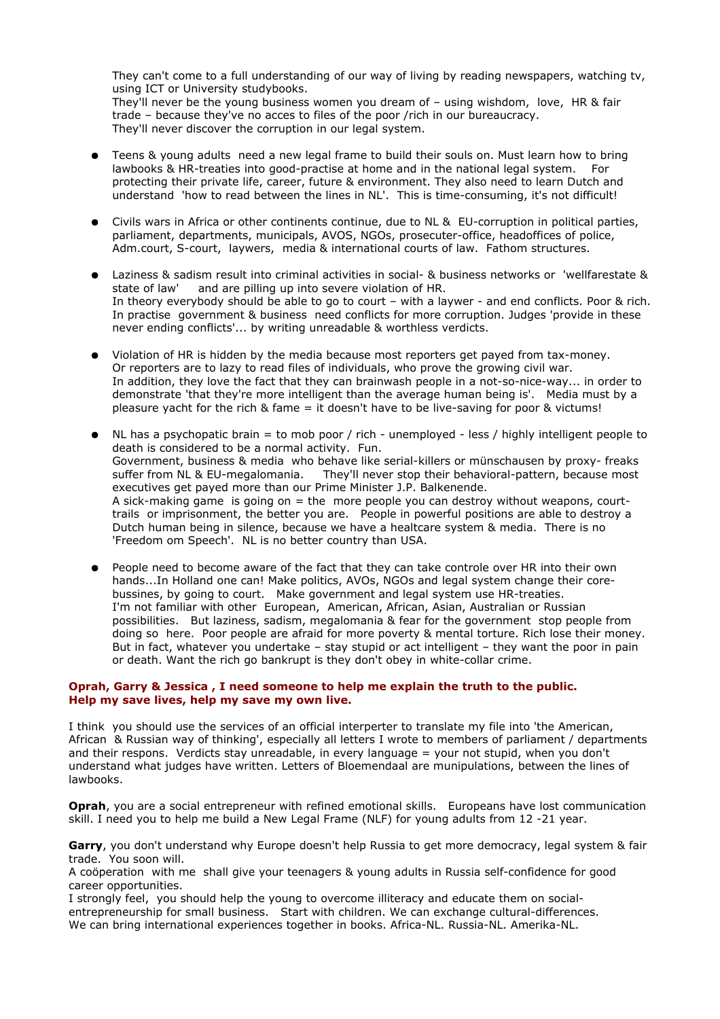They can't come to a full understanding of our way of living by reading newspapers, watching tv, using ICT or University studybooks.

They'll never be the young business women you dream of – using wishdom, love, HR & fair trade – because they've no acces to files of the poor /rich in our bureaucracy. They'll never discover the corruption in our legal system.

- Teens & young adults need a new legal frame to build their souls on. Must learn how to bring lawbooks & HR-treaties into good-practise at home and in the national legal system. For protecting their private life, career, future & environment. They also need to learn Dutch and understand 'how to read between the lines in NL'. This is time-consuming, it's not difficult!
- Civils wars in Africa or other continents continue, due to NL & EU-corruption in political parties, parliament, departments, municipals, AVOS, NGOs, prosecuter-office, headoffices of police, Adm.court, S-court, laywers, media & international courts of law. Fathom structures.
- Laziness & sadism result into criminal activities in social- & business networks or 'wellfarestate & state of law' and are pilling up into severe violation of HR. In theory everybody should be able to go to court – with a laywer - and end conflicts. Poor & rich. In practise government & business need conflicts for more corruption. Judges 'provide in these never ending conflicts'... by writing unreadable & worthless verdicts.
- Violation of HR is hidden by the media because most reporters get payed from tax-money. Or reporters are to lazy to read files of individuals, who prove the growing civil war. In addition, they love the fact that they can brainwash people in a not-so-nice-way... in order to demonstrate 'that they're more intelligent than the average human being is'. Media must by a pleasure yacht for the rich & fame = it doesn't have to be live-saving for poor & victums!
- NL has a psychopatic brain = to mob poor / rich unemployed less / highly intelligent people to death is considered to be a normal activity. Fun. Government, business & media who behave like serial-killers or münschausen by proxy- freaks suffer from NL & EU-megalomania. They'll never stop their behavioral-pattern, because most executives get payed more than our Prime Minister J.P. Balkenende. A sick-making game is going on  $=$  the more people you can destroy without weapons, courttrails or imprisonment, the better you are. People in powerful positions are able to destroy a Dutch human being in silence, because we have a healtcare system & media. There is no 'Freedom om Speech'. NL is no better country than USA.
- People need to become aware of the fact that they can take controle over HR into their own hands...In Holland one can! Make politics, AVOs, NGOs and legal system change their corebussines, by going to court. Make government and legal system use HR-treaties. I'm not familiar with other European, American, African, Asian, Australian or Russian possibilities. But laziness, sadism, megalomania & fear for the government stop people from doing so here. Poor people are afraid for more poverty & mental torture. Rich lose their money. But in fact, whatever you undertake – stay stupid or act intelligent – they want the poor in pain or death. Want the rich go bankrupt is they don't obey in white-collar crime.

## **Oprah, Garry & Jessica , I need someone to help me explain the truth to the public. Help my save lives, help my save my own live.**

I think you should use the services of an official interperter to translate my file into 'the American, African & Russian way of thinking', especially all letters I wrote to members of parliament / departments and their respons. Verdicts stay unreadable, in every language = your not stupid, when you don't understand what judges have written. Letters of Bloemendaal are munipulations, between the lines of lawbooks.

**Oprah**, you are a social entrepreneur with refined emotional skills. Europeans have lost communication skill. I need you to help me build a New Legal Frame (NLF) for young adults from 12 -21 year.

**Garry**, you don't understand why Europe doesn't help Russia to get more democracy, legal system & fair trade. You soon will.

A coöperation with me shall give your teenagers & young adults in Russia self-confidence for good career opportunities.

I strongly feel, you should help the young to overcome illiteracy and educate them on socialentrepreneurship for small business. Start with children. We can exchange cultural-differences. We can bring international experiences together in books. Africa-NL. Russia-NL. Amerika-NL.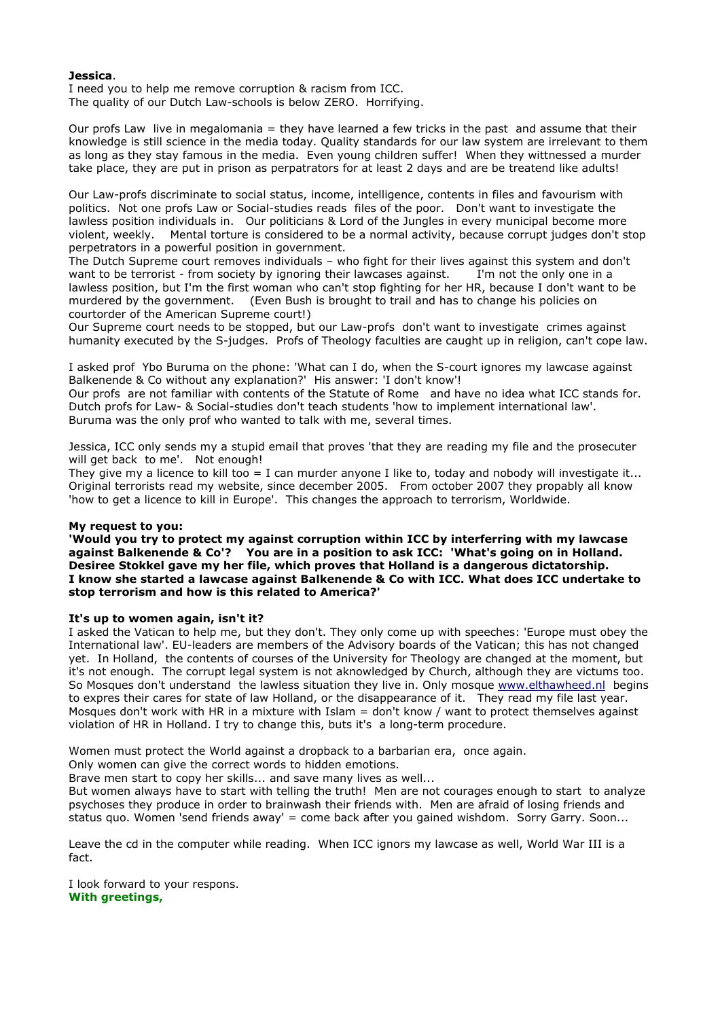## **Jessica**.

I need you to help me remove corruption & racism from ICC. The quality of our Dutch Law-schools is below ZERO. Horrifying.

Our profs Law live in megalomania = they have learned a few tricks in the past and assume that their knowledge is still science in the media today. Quality standards for our law system are irrelevant to them as long as they stay famous in the media. Even young children suffer! When they wittnessed a murder take place, they are put in prison as perpatrators for at least 2 days and are be treatend like adults!

Our Law-profs discriminate to social status, income, intelligence, contents in files and favourism with politics. Not one profs Law or Social-studies reads files of the poor. Don't want to investigate the lawless position individuals in. Our politicians & Lord of the Jungles in every municipal become more violent, weekly. Mental torture is considered to be a normal activity, because corrupt judges don't stop perpetrators in a powerful position in government.

The Dutch Supreme court removes individuals – who fight for their lives against this system and don't want to be terrorist - from society by ignoring their lawcases against. I'm not the only one in a lawless position, but I'm the first woman who can't stop fighting for her HR, because I don't want to be murdered by the government. (Even Bush is brought to trail and has to change his policies on courtorder of the American Supreme court!)

Our Supreme court needs to be stopped, but our Law-profs don't want to investigate crimes against humanity executed by the S-judges. Profs of Theology faculties are caught up in religion, can't cope law.

I asked prof Ybo Buruma on the phone: 'What can I do, when the S-court ignores my lawcase against Balkenende & Co without any explanation?' His answer: 'I don't know'!

Our profs are not familiar with contents of the Statute of Rome and have no idea what ICC stands for. Dutch profs for Law- & Social-studies don't teach students 'how to implement international law'. Buruma was the only prof who wanted to talk with me, several times.

Jessica, ICC only sends my a stupid email that proves 'that they are reading my file and the prosecuter will get back to me'. Not enough!

They give my a licence to kill too = I can murder anyone I like to, today and nobody will investigate it... Original terrorists read my website, since december 2005. From october 2007 they propably all know 'how to get a licence to kill in Europe'. This changes the approach to terrorism, Worldwide.

#### **My request to you:**

**'Would you try to protect my against corruption within ICC by interferring with my lawcase against Balkenende & Co'? You are in a position to ask ICC: 'What's going on in Holland. Desiree Stokkel gave my her file, which proves that Holland is a dangerous dictatorship. I know she started a lawcase against Balkenende & Co with ICC. What does ICC undertake to stop terrorism and how is this related to America?'**

### **It's up to women again, isn't it?**

I asked the Vatican to help me, but they don't. They only come up with speeches: 'Europe must obey the International law'. EU-leaders are members of the Advisory boards of the Vatican; this has not changed yet. In Holland, the contents of courses of the University for Theology are changed at the moment, but it's not enough. The corrupt legal system is not aknowledged by Church, although they are victums too. So Mosques don't understand the lawless situation they live in. Only mosque [www.elthawheed.nl](http://www.elthawheed.nl/) begins to expres their cares for state of law Holland, or the disappearance of it. They read my file last year. Mosques don't work with HR in a mixture with Islam = don't know / want to protect themselves against violation of HR in Holland. I try to change this, buts it's a long-term procedure.

Women must protect the World against a dropback to a barbarian era, once again.

Only women can give the correct words to hidden emotions.

Brave men start to copy her skills... and save many lives as well...

But women always have to start with telling the truth! Men are not courages enough to start to analyze psychoses they produce in order to brainwash their friends with. Men are afraid of losing friends and status quo. Women 'send friends away' = come back after you gained wishdom. Sorry Garry. Soon...

Leave the cd in the computer while reading. When ICC ignors my lawcase as well, World War III is a fact.

I look forward to your respons. **With greetings,**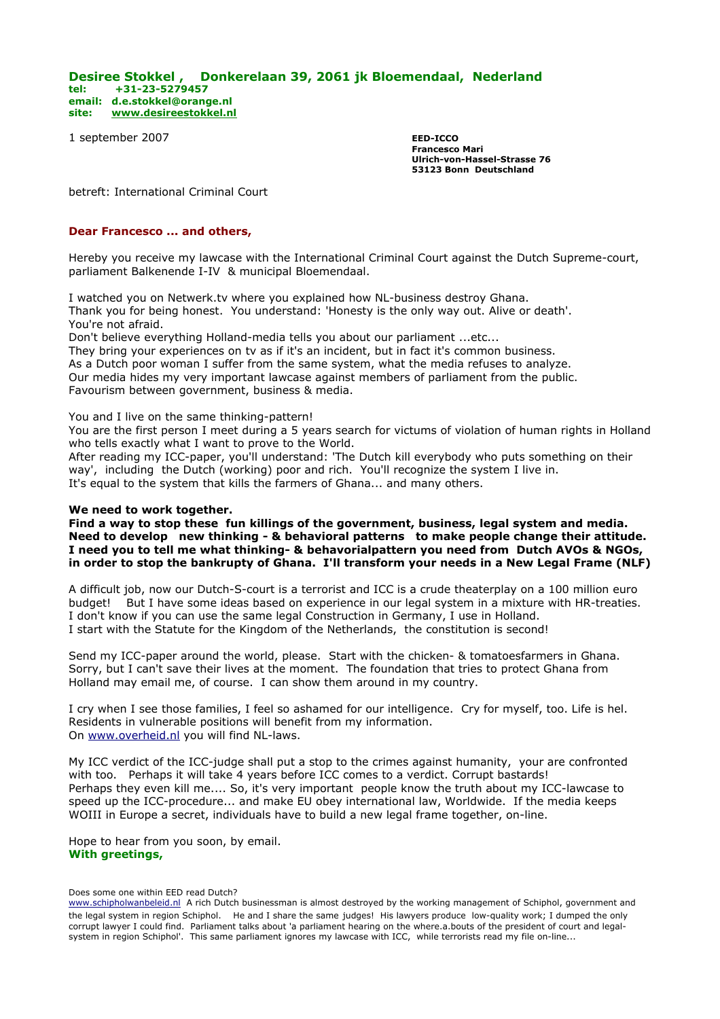**Desiree Stokkel , Donkerelaan 39, 2061 jk Bloemendaal, Nederland tel: +31-23-5279457 email: [d.e.stokkel@orange.nl](mailto:d.e.stokkel@orange.nl) site: [www.desireestokkel.nl](http://www.desireestokkel.nl/)**

1 september 2007 **EED-ICCO**

**Francesco Mari Ulrich-von-Hassel-Strasse 76 53123 Bonn Deutschland**

betreft: International Criminal Court

### **Dear Francesco ... and others,**

Hereby you receive my lawcase with the International Criminal Court against the Dutch Supreme-court, parliament Balkenende I-IV & municipal Bloemendaal.

I watched you on Netwerk.tv where you explained how NL-business destroy Ghana. Thank you for being honest. You understand: 'Honesty is the only way out. Alive or death'. You're not afraid.

Don't believe everything Holland-media tells you about our parliament ...etc... They bring your experiences on tv as if it's an incident, but in fact it's common business. As a Dutch poor woman I suffer from the same system, what the media refuses to analyze. Our media hides my very important lawcase against members of parliament from the public.

Favourism between government, business & media.

#### You and I live on the same thinking-pattern!

You are the first person I meet during a 5 years search for victums of violation of human rights in Holland who tells exactly what I want to prove to the World.

After reading my ICC-paper, you'll understand: 'The Dutch kill everybody who puts something on their way', including the Dutch (working) poor and rich. You'll recognize the system I live in. It's equal to the system that kills the farmers of Ghana... and many others.

#### **We need to work together.**

**Find a way to stop these fun killings of the government, business, legal system and media. Need to develop new thinking - & behavioral patterns to make people change their attitude. I need you to tell me what thinking- & behavorialpattern you need from Dutch AVOs & NGOs, in order to stop the bankrupty of Ghana. I'll transform your needs in a New Legal Frame (NLF)**

A difficult job, now our Dutch-S-court is a terrorist and ICC is a crude theaterplay on a 100 million euro budget! But I have some ideas based on experience in our legal system in a mixture with HR-treaties. I don't know if you can use the same legal Construction in Germany, I use in Holland. I start with the Statute for the Kingdom of the Netherlands, the constitution is second!

Send my ICC-paper around the world, please. Start with the chicken- & tomatoesfarmers in Ghana. Sorry, but I can't save their lives at the moment. The foundation that tries to protect Ghana from Holland may email me, of course. I can show them around in my country.

I cry when I see those families, I feel so ashamed for our intelligence. Cry for myself, too. Life is hel. Residents in vulnerable positions will benefit from my information. On [www.overheid.nl](http://www.overheid.nl/) you will find NL-laws.

My ICC verdict of the ICC-judge shall put a stop to the crimes against humanity, your are confronted with too. Perhaps it will take 4 years before ICC comes to a verdict. Corrupt bastards! Perhaps they even kill me.... So, it's very important people know the truth about my ICC-lawcase to speed up the ICC-procedure... and make EU obey international law, Worldwide. If the media keeps WOIII in Europe a secret, individuals have to build a new legal frame together, on-line.

Hope to hear from you soon, by email. **With greetings,**

#### Does some one within EED read Dutch?

[www.schipholwanbeleid.nl](http://www.schipholwanbeleid.nl/) A rich Dutch businessman is almost destroyed by the working management of Schiphol, government and the legal system in region Schiphol. He and I share the same judges! His lawyers produce low-quality work; I dumped the only corrupt lawyer I could find. Parliament talks about 'a parliament hearing on the where.a.bouts of the president of court and legalsystem in region Schiphol'. This same parliament ignores my lawcase with ICC, while terrorists read my file on-line...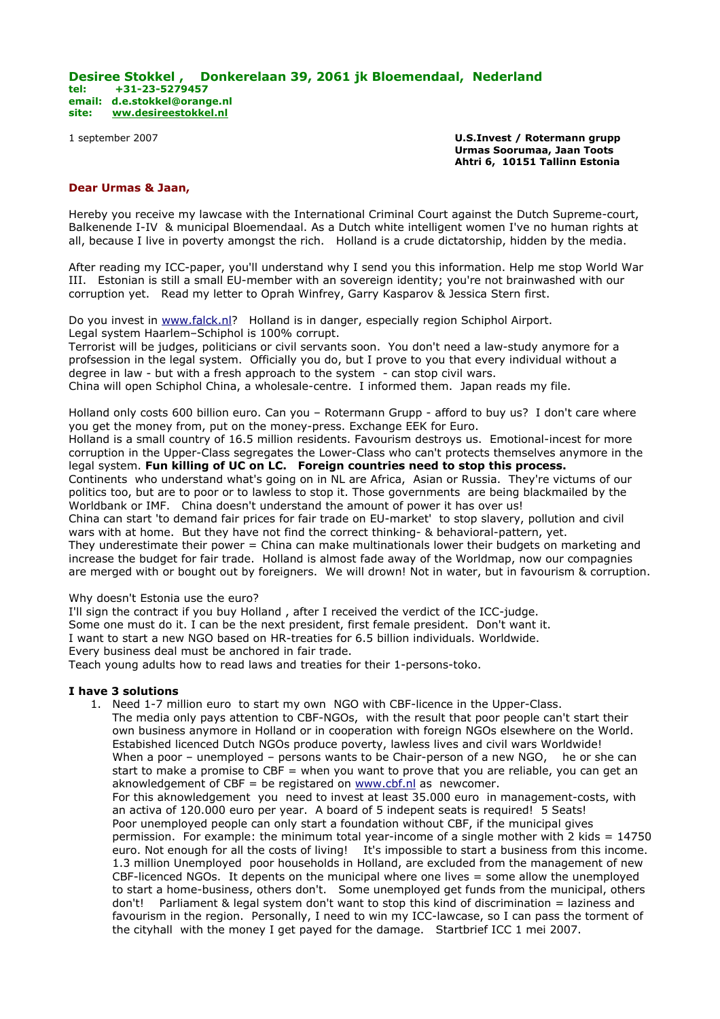### **Desiree Stokkel , Donkerelaan 39, 2061 jk Bloemendaal, Nederland tel: +31-23-5279457 email: [d.e.stokkel@orange.nl](mailto:d.e.stokkel@orange.nl) site: [ww.desireestokkel.nl](http://www.desireestokkel.nl/)**

1 september 2007 **U.S.Invest / Rotermann grupp Urmas Soorumaa, Jaan Toots Ahtri 6, 10151 Tallinn Estonia**

### **Dear Urmas & Jaan,**

Hereby you receive my lawcase with the International Criminal Court against the Dutch Supreme-court, Balkenende I-IV & municipal Bloemendaal. As a Dutch white intelligent women I've no human rights at all, because I live in poverty amongst the rich. Holland is a crude dictatorship, hidden by the media.

After reading my ICC-paper, you'll understand why I send you this information. Help me stop World War III. Estonian is still a small EU-member with an sovereign identity; you're not brainwashed with our corruption yet. Read my letter to Oprah Winfrey, Garry Kasparov & Jessica Stern first.

Do you invest in [www.falck.nl?](http://www.falck.nl/) Holland is in danger, especially region Schiphol Airport. Legal system Haarlem–Schiphol is 100% corrupt. Terrorist will be judges, politicians or civil servants soon. You don't need a law-study anymore for a profsession in the legal system. Officially you do, but I prove to you that every individual without a degree in law - but with a fresh approach to the system - can stop civil wars. China will open Schiphol China, a wholesale-centre. I informed them. Japan reads my file.

Holland only costs 600 billion euro. Can you – Rotermann Grupp - afford to buy us? I don't care where you get the money from, put on the money-press. Exchange EEK for Euro.

Holland is a small country of 16.5 million residents. Favourism destroys us. Emotional-incest for more corruption in the Upper-Class segregates the Lower-Class who can't protects themselves anymore in the legal system. **Fun killing of UC on LC. Foreign countries need to stop this process.** Continents who understand what's going on in NL are Africa, Asian or Russia. They're victums of our

politics too, but are to poor or to lawless to stop it. Those governments are being blackmailed by the Worldbank or IMF. China doesn't understand the amount of power it has over us! China can start 'to demand fair prices for fair trade on EU-market' to stop slavery, pollution and civil wars with at home. But they have not find the correct thinking- & behavioral-pattern, yet.

They underestimate their power = China can make multinationals lower their budgets on marketing and increase the budget for fair trade. Holland is almost fade away of the Worldmap, now our compagnies are merged with or bought out by foreigners. We will drown! Not in water, but in favourism & corruption.

Why doesn't Estonia use the euro?

I'll sign the contract if you buy Holland , after I received the verdict of the ICC-judge. Some one must do it. I can be the next president, first female president. Don't want it. I want to start a new NGO based on HR-treaties for 6.5 billion individuals. Worldwide. Every business deal must be anchored in fair trade. Teach young adults how to read laws and treaties for their 1-persons-toko.

# **I have 3 solutions**

1. Need 1-7 million euro to start my own NGO with CBF-licence in the Upper-Class. The media only pays attention to CBF-NGOs, with the result that poor people can't start their own business anymore in Holland or in cooperation with foreign NGOs elsewhere on the World. Estabished licenced Dutch NGOs produce poverty, lawless lives and civil wars Worldwide! When a poor – unemployed – persons wants to be Chair-person of a new NGO, he or she can start to make a promise to CBF = when you want to prove that you are reliable, you can get an aknowledgement of CBF = be registared on  $www.cbf.nl$  as newcomer. For this aknowledgement you need to invest at least 35.000 euro in management-costs, with an activa of 120.000 euro per year. A board of 5 indepent seats is required! 5 Seats! Poor unemployed people can only start a foundation without CBF, if the municipal gives permission. For example: the minimum total year-income of a single mother with 2 kids = 14750 euro. Not enough for all the costs of living! It's impossible to start a business from this income. 1.3 million Unemployed poor households in Holland, are excluded from the management of new CBF-licenced NGOs. It depents on the municipal where one lives = some allow the unemployed to start a home-business, others don't. Some unemployed get funds from the municipal, others don't! Parliament & legal system don't want to stop this kind of discrimination = laziness and favourism in the region. Personally, I need to win my ICC-lawcase, so I can pass the torment of the cityhall with the money I get payed for the damage. Startbrief ICC 1 mei 2007.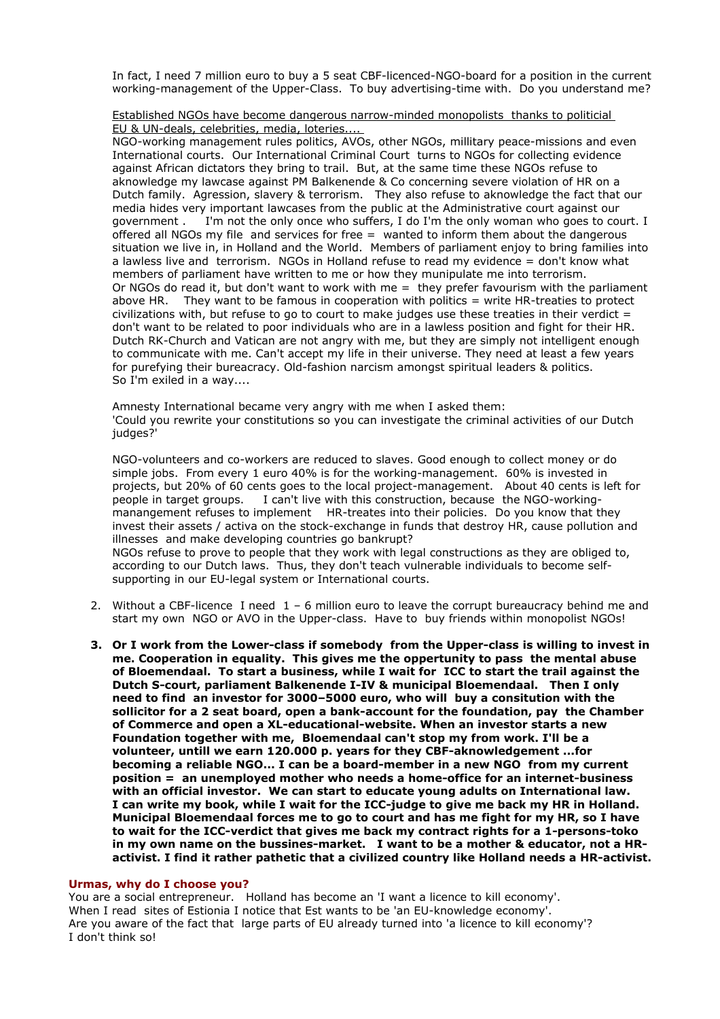In fact, I need 7 million euro to buy a 5 seat CBF-licenced-NGO-board for a position in the current working-management of the Upper-Class. To buy advertising-time with. Do you understand me?

Established NGOs have become dangerous narrow-minded monopolists thanks to politicial EU & UN-deals, celebrities, media, loteries....

NGO-working management rules politics, AVOs, other NGOs, millitary peace-missions and even International courts. Our International Criminal Court turns to NGOs for collecting evidence against African dictators they bring to trail. But, at the same time these NGOs refuse to aknowledge my lawcase against PM Balkenende & Co concerning severe violation of HR on a Dutch family. Agression, slavery & terrorism. They also refuse to aknowledge the fact that our media hides very important lawcases from the public at the Administrative court against our government . I'm not the only once who suffers, I do I'm the only woman who goes to court. I offered all NGOs my file and services for free = wanted to inform them about the dangerous situation we live in, in Holland and the World. Members of parliament enjoy to bring families into a lawless live and terrorism. NGOs in Holland refuse to read my evidence = don't know what members of parliament have written to me or how they munipulate me into terrorism. Or NGOs do read it, but don't want to work with me  $=$  they prefer favourism with the parliament above HR. They want to be famous in cooperation with politics = write HR-treaties to protect civilizations with, but refuse to go to court to make judges use these treaties in their verdict  $=$ don't want to be related to poor individuals who are in a lawless position and fight for their HR. Dutch RK-Church and Vatican are not angry with me, but they are simply not intelligent enough to communicate with me. Can't accept my life in their universe. They need at least a few years for purefying their bureacracy. Old-fashion narcism amongst spiritual leaders & politics. So I'm exiled in a way....

Amnesty International became very angry with me when I asked them: 'Could you rewrite your constitutions so you can investigate the criminal activities of our Dutch judges?'

NGO-volunteers and co-workers are reduced to slaves. Good enough to collect money or do simple jobs. From every 1 euro 40% is for the working-management. 60% is invested in projects, but 20% of 60 cents goes to the local project-management. About 40 cents is left for people in target groups. I can't live with this construction, because the NGO-workingmanangement refuses to implement HR-treates into their policies. Do you know that they invest their assets / activa on the stock-exchange in funds that destroy HR, cause pollution and illnesses and make developing countries go bankrupt? NGOs refuse to prove to people that they work with legal constructions as they are obliged to,

according to our Dutch laws. Thus, they don't teach vulnerable individuals to become selfsupporting in our EU-legal system or International courts.

- 2. Without a CBF-licence I need 1 6 million euro to leave the corrupt bureaucracy behind me and start my own NGO or AVO in the Upper-class. Have to buy friends within monopolist NGOs!
- **3. Or I work from the Lower-class if somebody from the Upper-class is willing to invest in me. Cooperation in equality. This gives me the oppertunity to pass the mental abuse of Bloemendaal. To start a business, while I wait for ICC to start the trail against the Dutch S-court, parliament Balkenende I-IV & municipal Bloemendaal. Then I only need to find an investor for 3000–5000 euro, who will buy a consitution with the sollicitor for a 2 seat board, open a bank-account for the foundation, pay the Chamber of Commerce and open a XL-educational-website. When an investor starts a new Foundation together with me, Bloemendaal can't stop my from work. I'll be a volunteer, untill we earn 120.000 p. years for they CBF-aknowledgement ...for becoming a reliable NGO... I can be a board-member in a new NGO from my current position = an unemployed mother who needs a home-office for an internet-business with an official investor. We can start to educate young adults on International law. I can write my book, while I wait for the ICC-judge to give me back my HR in Holland. Municipal Bloemendaal forces me to go to court and has me fight for my HR, so I have to wait for the ICC-verdict that gives me back my contract rights for a 1-persons-toko in my own name on the bussines-market. I want to be a mother & educator, not a HRactivist. I find it rather pathetic that a civilized country like Holland needs a HR-activist.**

#### **Urmas, why do I choose you?**

You are a social entrepreneur. Holland has become an 'I want a licence to kill economy'. When I read sites of Estionia I notice that Est wants to be 'an EU-knowledge economy'. Are you aware of the fact that large parts of EU already turned into 'a licence to kill economy'? I don't think so!